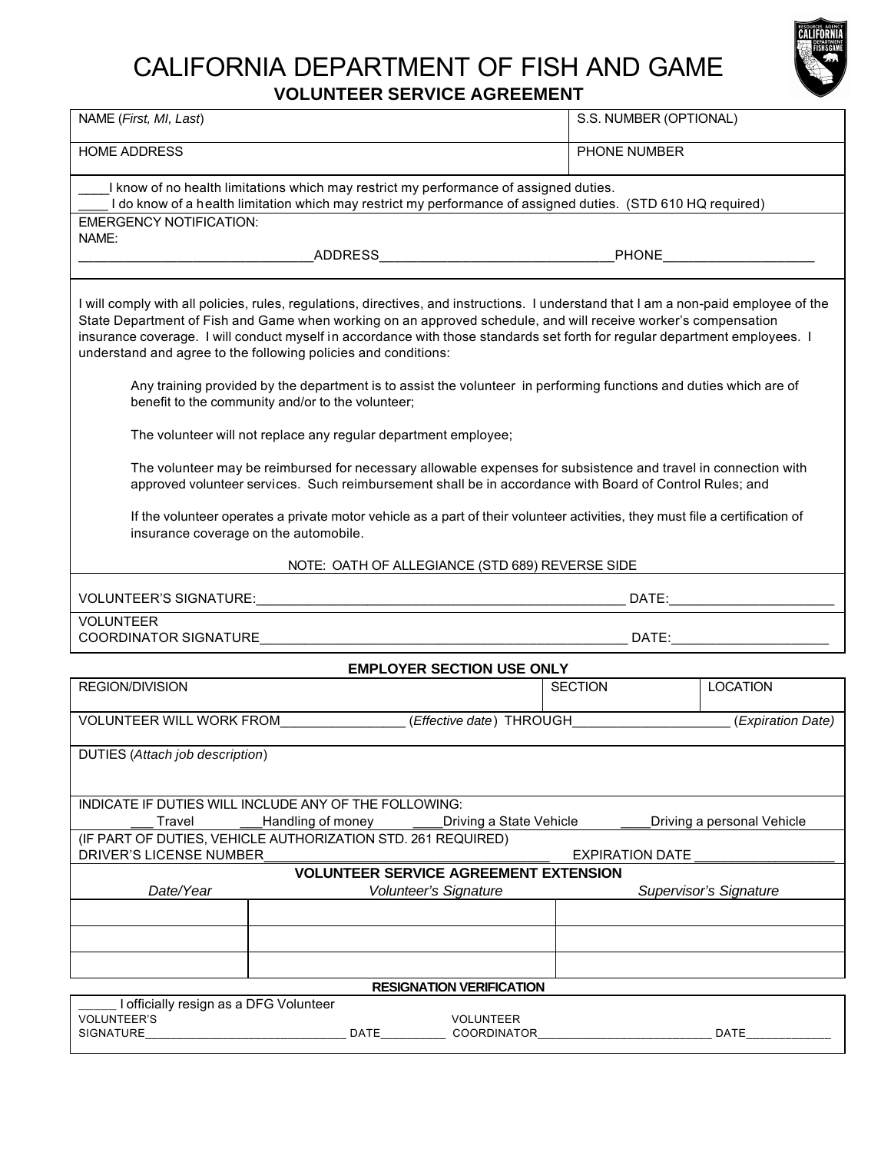# CALIFORNIA DEPARTMENT OF FISH AND GAME **VOLUNTEER SERVICE AGREEMENT**



| NAME (First, MI, Last)                                                                                                                                                                                                                                                                                                                                                                                                                                                                                                                                                       |                                                       | S.S. NUMBER (OPTIONAL)          |                            |  |  |
|------------------------------------------------------------------------------------------------------------------------------------------------------------------------------------------------------------------------------------------------------------------------------------------------------------------------------------------------------------------------------------------------------------------------------------------------------------------------------------------------------------------------------------------------------------------------------|-------------------------------------------------------|---------------------------------|----------------------------|--|--|
| <b>HOME ADDRESS</b>                                                                                                                                                                                                                                                                                                                                                                                                                                                                                                                                                          |                                                       | PHONE NUMBER                    |                            |  |  |
| I know of no health limitations which may restrict my performance of assigned duties.<br>I do know of a health limitation which may restrict my performance of assigned duties. (STD 610 HQ required)                                                                                                                                                                                                                                                                                                                                                                        |                                                       |                                 |                            |  |  |
| <b>EMERGENCY NOTIFICATION:</b>                                                                                                                                                                                                                                                                                                                                                                                                                                                                                                                                               |                                                       |                                 |                            |  |  |
| NAME:                                                                                                                                                                                                                                                                                                                                                                                                                                                                                                                                                                        |                                                       |                                 |                            |  |  |
|                                                                                                                                                                                                                                                                                                                                                                                                                                                                                                                                                                              |                                                       |                                 |                            |  |  |
| I will comply with all policies, rules, regulations, directives, and instructions. I understand that I am a non-paid employee of the<br>State Department of Fish and Game when working on an approved schedule, and will receive worker's compensation<br>insurance coverage. I will conduct myself in accordance with those standards set forth for regular department employees. I<br>understand and agree to the following policies and conditions:<br>Any training provided by the department is to assist the volunteer in performing functions and duties which are of |                                                       |                                 |                            |  |  |
|                                                                                                                                                                                                                                                                                                                                                                                                                                                                                                                                                                              | benefit to the community and/or to the volunteer;     |                                 |                            |  |  |
| The volunteer will not replace any regular department employee;                                                                                                                                                                                                                                                                                                                                                                                                                                                                                                              |                                                       |                                 |                            |  |  |
| The volunteer may be reimbursed for necessary allowable expenses for subsistence and travel in connection with<br>approved volunteer services. Such reimbursement shall be in accordance with Board of Control Rules; and                                                                                                                                                                                                                                                                                                                                                    |                                                       |                                 |                            |  |  |
| If the volunteer operates a private motor vehicle as a part of their volunteer activities, they must file a certification of<br>insurance coverage on the automobile.                                                                                                                                                                                                                                                                                                                                                                                                        |                                                       |                                 |                            |  |  |
|                                                                                                                                                                                                                                                                                                                                                                                                                                                                                                                                                                              | NOTE: OATH OF ALLEGIANCE (STD 689) REVERSE SIDE       |                                 |                            |  |  |
|                                                                                                                                                                                                                                                                                                                                                                                                                                                                                                                                                                              |                                                       | DATE:__________________________ |                            |  |  |
| <b>VOLUNTEER</b>                                                                                                                                                                                                                                                                                                                                                                                                                                                                                                                                                             |                                                       |                                 |                            |  |  |
|                                                                                                                                                                                                                                                                                                                                                                                                                                                                                                                                                                              | <b>EMPLOYER SECTION USE ONLY</b>                      |                                 |                            |  |  |
| REGION/DIVISION                                                                                                                                                                                                                                                                                                                                                                                                                                                                                                                                                              |                                                       | <b>SECTION</b>                  | <b>LOCATION</b>            |  |  |
| VOLUNTEER WILL WORK FROM (Effective date) THROUGH (Expiration Date)                                                                                                                                                                                                                                                                                                                                                                                                                                                                                                          |                                                       |                                 |                            |  |  |
| <b>DUTIES</b> (Attach job description)                                                                                                                                                                                                                                                                                                                                                                                                                                                                                                                                       |                                                       |                                 |                            |  |  |
|                                                                                                                                                                                                                                                                                                                                                                                                                                                                                                                                                                              | INDICATE IF DUTIES WILL INCLUDE ANY OF THE FOLLOWING: |                                 |                            |  |  |
| Travel                                                                                                                                                                                                                                                                                                                                                                                                                                                                                                                                                                       | Handling of money<br>Driving a State Vehicle          |                                 | Driving a personal Vehicle |  |  |
| (IF PART OF DUTIES, VEHICLE AUTHORIZATION STD. 261 REQUIRED)                                                                                                                                                                                                                                                                                                                                                                                                                                                                                                                 |                                                       |                                 |                            |  |  |
| DRIVER'S LICENSE NUMBER<br><b>EXPIRATION DATE</b>                                                                                                                                                                                                                                                                                                                                                                                                                                                                                                                            |                                                       |                                 |                            |  |  |
|                                                                                                                                                                                                                                                                                                                                                                                                                                                                                                                                                                              | <b>VOLUNTEER SERVICE AGREEMENT EXTENSION</b>          |                                 |                            |  |  |
| Date/Year                                                                                                                                                                                                                                                                                                                                                                                                                                                                                                                                                                    | Volunteer's Signature                                 |                                 | Supervisor's Signature     |  |  |
|                                                                                                                                                                                                                                                                                                                                                                                                                                                                                                                                                                              |                                                       |                                 |                            |  |  |
|                                                                                                                                                                                                                                                                                                                                                                                                                                                                                                                                                                              |                                                       |                                 |                            |  |  |
|                                                                                                                                                                                                                                                                                                                                                                                                                                                                                                                                                                              |                                                       |                                 |                            |  |  |
| I officially resign as a DFG Volunteer                                                                                                                                                                                                                                                                                                                                                                                                                                                                                                                                       | <b>RESIGNATION VERIFICATION</b>                       |                                 |                            |  |  |
| <b>VOLUNTEER'S</b>                                                                                                                                                                                                                                                                                                                                                                                                                                                                                                                                                           | <b>VOLUNTEER</b>                                      |                                 |                            |  |  |

SIGNATURE\_\_\_\_\_\_\_\_\_\_\_\_\_\_\_\_\_\_\_\_\_\_\_\_\_\_\_\_\_\_\_ DATE\_\_\_\_\_\_\_\_\_\_ COORDINATOR\_\_\_\_\_\_\_\_\_\_\_\_\_\_\_\_\_\_\_\_\_\_\_\_\_\_\_ DATE\_\_\_\_\_\_\_\_\_\_\_\_\_